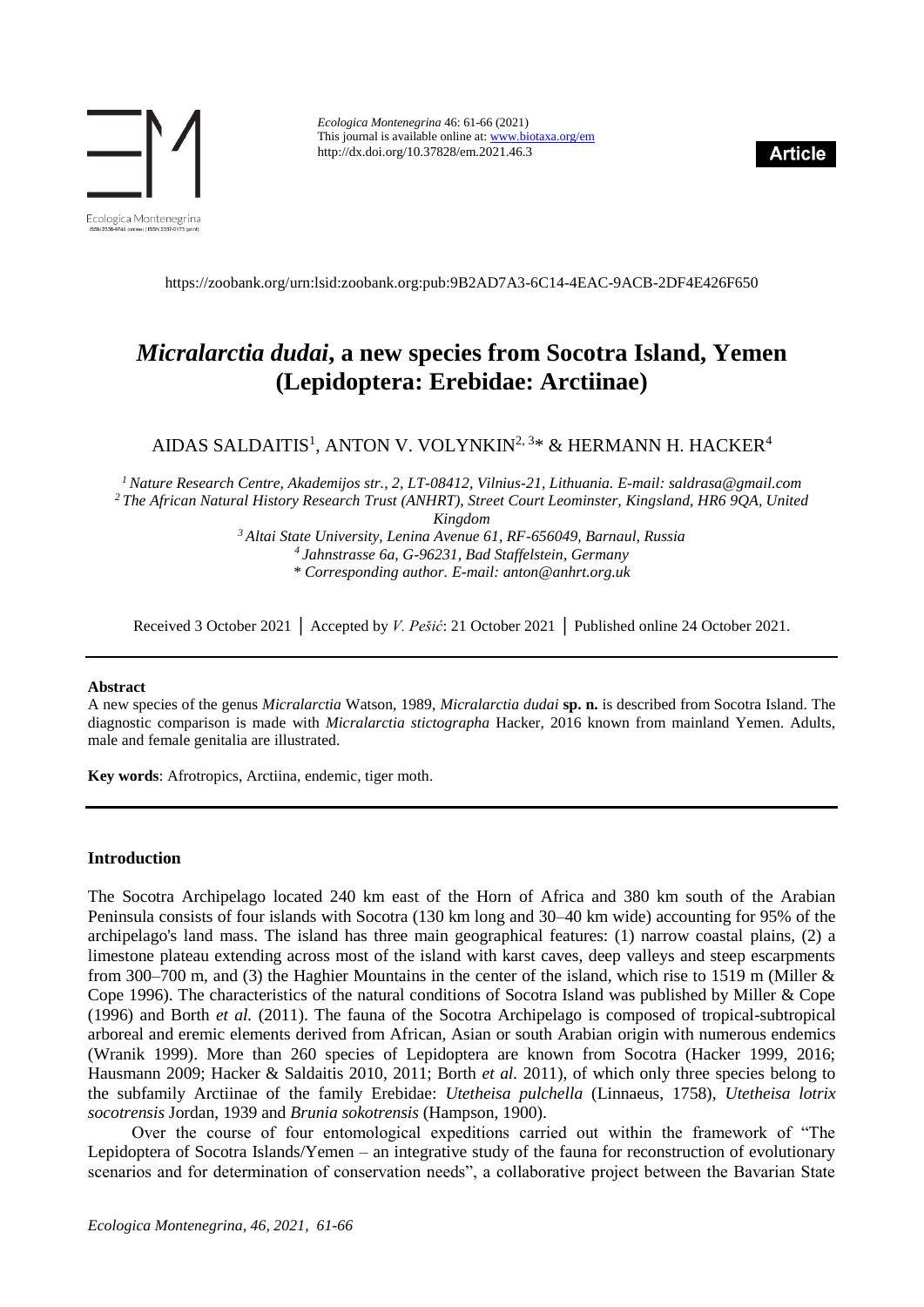

*Ecologica Montenegrina* 46: 61-66 (2021) This journal is available online at[: www.biotaxa.org/em](http://www.biotaxa.org/em) http://dx.doi.org/10.37828/em.2021.46.3



<https://zoobank.org/urn:lsid:zoobank.org:pub:9B2AD7A3-6C14-4EAC-9ACB-2DF4E426F650>

# *Micralarctia dudai***, a new species from Socotra Island, Yemen (Lepidoptera: Erebidae: Arctiinae)**

AIDAS SALDAITIS $^1$ , ANTON V. VOLYNKIN $^{2,\,3*}$  & HERMANN H. HACKER $^4$ 

*<sup>1</sup>Nature Research Centre, Akademijos str., 2, LT-08412, Vilnius-21, Lithuania. E-mail: saldrasa@gmail.com <sup>2</sup> The African Natural History Research Trust (ANHRT), Street Court Leominster, Kingsland, HR6 9QA, United Kingdom*

> *<sup>3</sup>Altai State University, Lenina Avenue 61, RF-656049, Barnaul, Russia <sup>4</sup>Jahnstrasse 6a, G-96231, Bad Staffelstein, Germany \* Corresponding author. E-mail: anton@anhrt.org.uk*

Received 3 October 2021 │ Accepted by *V. Pešić*: 21 October 2021 │ Published online 24 October 2021.

#### **Abstract**

A new species of the genus *Micralarctia* Watson, 1989, *Micralarctia dudai* **sp. n.** is described from Socotra Island. The diagnostic comparison is made with *Micralarctia stictographa* Hacker, 2016 known from mainland Yemen. Adults, male and female genitalia are illustrated.

**Key words**: Afrotropics, Arctiina, endemic, tiger moth.

#### **Introduction**

The Socotra Archipelago located 240 km east of the Horn of Africa and 380 km south of the Arabian Peninsula consists of four islands with Socotra (130 km long and 30–40 km wide) accounting for 95% of the archipelago's land mass. The island has three main geographical features: (1) narrow coastal plains, (2) a limestone plateau extending across most of the island with karst caves, deep valleys and steep escarpments from 300–700 m, and (3) the Haghier Mountains in the center of the island, which rise to 1519 m (Miller & Cope 1996). The characteristics of the natural conditions of Socotra Island was published by Miller & Cope (1996) and Borth *et al.* (2011). The fauna of the Socotra Archipelago is composed of tropical-subtropical arboreal and eremic elements derived from African, Asian or south Arabian origin with numerous endemics (Wranik 1999). More than 260 species of Lepidoptera are known from Socotra (Hacker 1999, 2016; Hausmann 2009; Hacker & Saldaitis 2010, 2011; Borth *et al.* 2011), of which only three species belong to the subfamily Arctiinae of the family Erebidae: *Utetheisa pulchella* (Linnaeus, 1758), *Utetheisa lotrix socotrensis* Jordan, 1939 and *Brunia sokotrensis* (Hampson, 1900).

Over the course of four entomological expeditions carried out within the framework of "The Lepidoptera of Socotra Islands/Yemen – an integrative study of the fauna for reconstruction of evolutionary scenarios and for determination of conservation needs", a collaborative project between the Bavarian State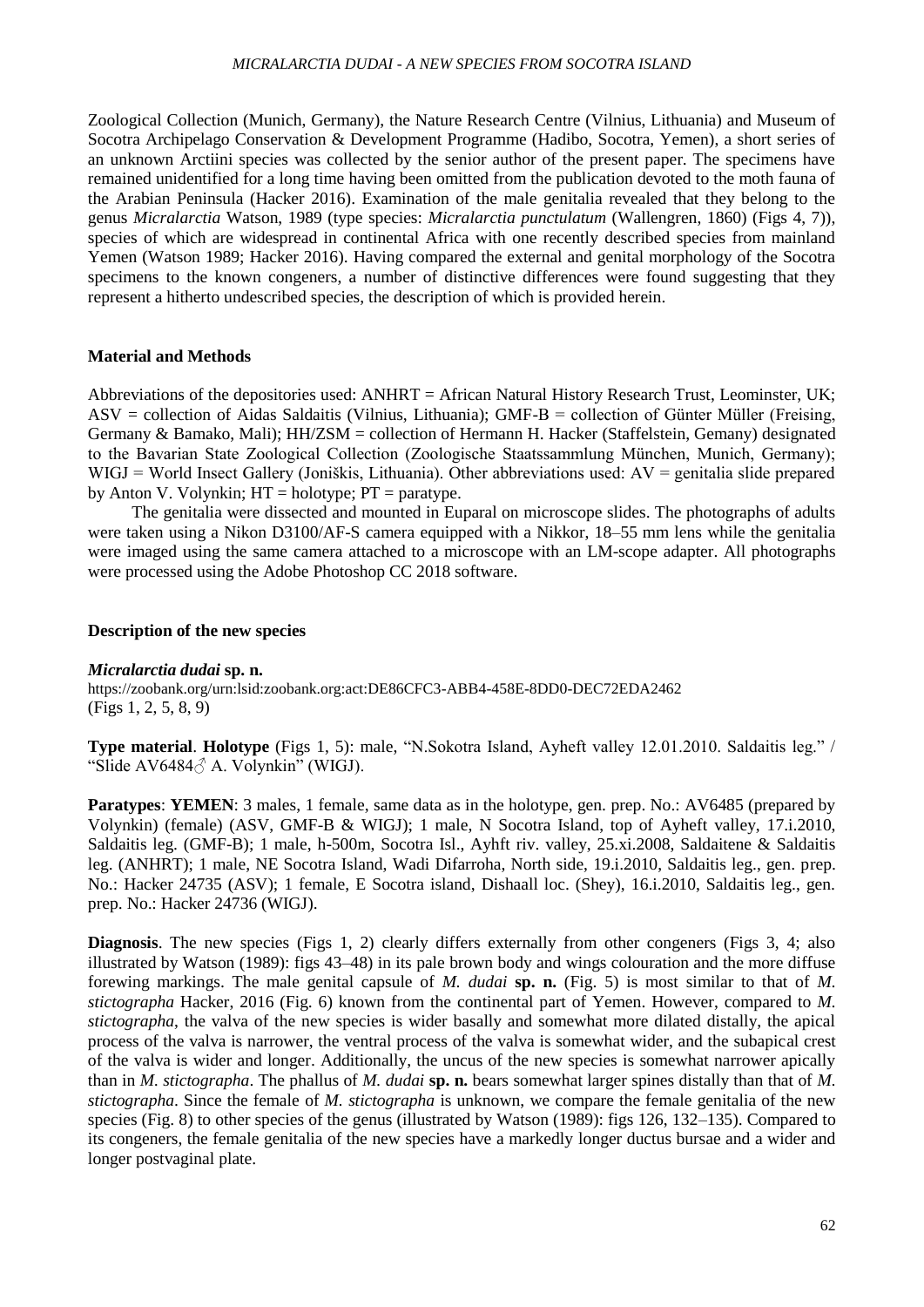### *MICRALARCTIA DUDAI - A NEW SPECIES FROM SOCOTRA ISLAND*

Zoological Collection (Munich, Germany), the Nature Research Centre (Vilnius, Lithuania) and Museum of Socotra Archipelago Conservation & Development Programme (Hadibo, Socotra, Yemen), a short series of an unknown Arctiini species was collected by the senior author of the present paper. The specimens have remained unidentified for a long time having been omitted from the publication devoted to the moth fauna of the Arabian Peninsula (Hacker 2016). Examination of the male genitalia revealed that they belong to the genus *Micralarctia* Watson, 1989 (type species: *Micralarctia punctulatum* (Wallengren, 1860) (Figs 4, 7)), species of which are widespread in continental Africa with one recently described species from mainland Yemen (Watson 1989; Hacker 2016). Having compared the external and genital morphology of the Socotra specimens to the known congeners, a number of distinctive differences were found suggesting that they represent a hitherto undescribed species, the description of which is provided herein.

## **Material and Methods**

Abbreviations of the depositories used: ANHRT = African Natural History Research Trust, Leominster, UK; ASV = collection of Aidas Saldaitis (Vilnius, Lithuania); GMF-B = collection of Günter Müller (Freising, Germany & Bamako, Mali); HH/ZSM = collection of Hermann H. Hacker (Staffelstein, Gemany) designated to the Bavarian State Zoological Collection (Zoologische Staatssammlung München, Munich, Germany); WIGJ = World Insect Gallery (Joniškis, Lithuania). Other abbreviations used: AV = genitalia slide prepared by Anton V. Volynkin;  $HT = \text{holotype}$ ;  $PT = \text{parotype}$ .

The genitalia were dissected and mounted in Euparal on microscope slides. The photographs of adults were taken using a Nikon D3100/AF-S camera equipped with a Nikkor, 18–55 mm lens while the genitalia were imaged using the same camera attached to a microscope with an LM-scope adapter. All photographs were processed using the Adobe Photoshop CC 2018 software.

### **Description of the new species**

### *Micralarctia dudai* **sp. n.**

<https://zoobank.org/urn:lsid:zoobank.org:act:DE86CFC3-ABB4-458E-8DD0-DEC72EDA2462> (Figs 1, 2, 5, 8, 9)

**Type material**. **Holotype** (Figs 1, 5): male, "N.Sokotra Island, Ayheft valley 12.01.2010. Saldaitis leg." / "Slide AV6484♂ A. Volynkin" (WIGJ).

**Paratypes: YEMEN:** 3 males, 1 female, same data as in the holotype, gen. prep. No.: AV6485 (prepared by Volynkin) (female) (ASV, GMF-B & WIGJ); 1 male, N Socotra Island, top of Ayheft valley, 17.i.2010, Saldaitis leg. (GMF-B); 1 male, h-500m, Socotra Isl., Ayhft riv. valley, 25.xi.2008, Saldaitene & Saldaitis leg. (ANHRT); 1 male, NE Socotra Island, Wadi Difarroha, North side, 19.i.2010, Saldaitis leg., gen. prep. No.: Hacker 24735 (ASV); 1 female, E Socotra island, Dishaall loc. (Shey), 16.i.2010, Saldaitis leg., gen. prep. No.: Hacker 24736 (WIGJ).

**Diagnosis**. The new species (Figs 1, 2) clearly differs externally from other congeners (Figs 3, 4; also illustrated by Watson (1989): figs 43–48) in its pale brown body and wings colouration and the more diffuse forewing markings. The male genital capsule of *M. dudai* **sp. n.** (Fig. 5) is most similar to that of *M. stictographa* Hacker, 2016 (Fig. 6) known from the continental part of Yemen. However, compared to *M. stictographa*, the valva of the new species is wider basally and somewhat more dilated distally, the apical process of the valva is narrower, the ventral process of the valva is somewhat wider, and the subapical crest of the valva is wider and longer. Additionally, the uncus of the new species is somewhat narrower apically than in *M. stictographa*. The phallus of *M. dudai* **sp. n.** bears somewhat larger spines distally than that of *M. stictographa*. Since the female of *M. stictographa* is unknown, we compare the female genitalia of the new species (Fig. 8) to other species of the genus (illustrated by Watson (1989): figs 126, 132–135). Compared to its congeners, the female genitalia of the new species have a markedly longer ductus bursae and a wider and longer postvaginal plate.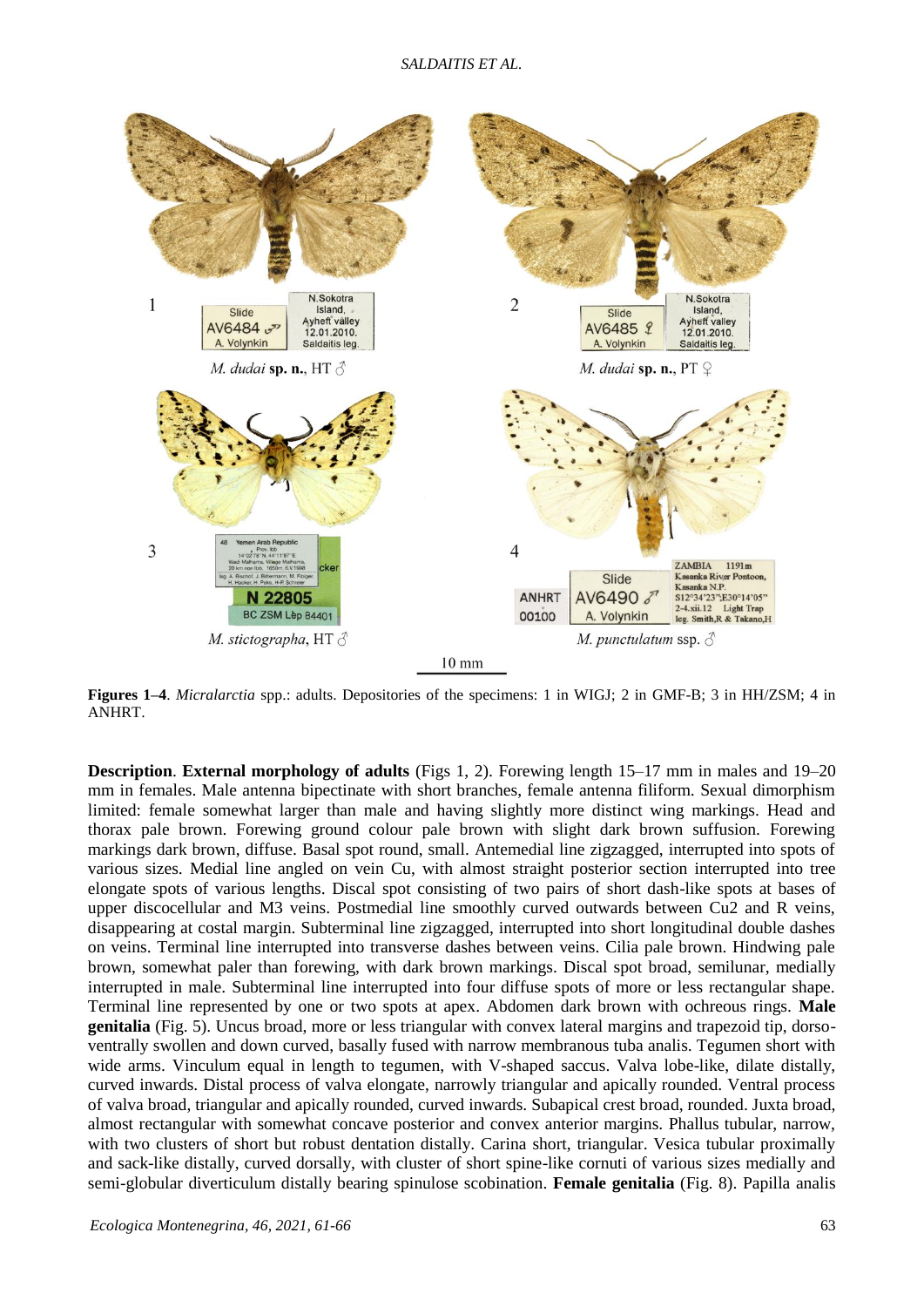

**Figures 1–4**. *Micralarctia* spp.: adults. Depositories of the specimens: 1 in WIGJ; 2 in GMF-B; 3 in HH/ZSM; 4 in ANHRT.

**Description**. **External morphology of adults** (Figs 1, 2). Forewing length 15–17 mm in males and 19–20 mm in females. Male antenna bipectinate with short branches, female antenna filiform. Sexual dimorphism limited: female somewhat larger than male and having slightly more distinct wing markings. Head and thorax pale brown. Forewing ground colour pale brown with slight dark brown suffusion. Forewing markings dark brown, diffuse. Basal spot round, small. Antemedial line zigzagged, interrupted into spots of various sizes. Medial line angled on vein Cu, with almost straight posterior section interrupted into tree elongate spots of various lengths. Discal spot consisting of two pairs of short dash-like spots at bases of upper discocellular and M3 veins. Postmedial line smoothly curved outwards between Cu2 and R veins, disappearing at costal margin. Subterminal line zigzagged, interrupted into short longitudinal double dashes on veins. Terminal line interrupted into transverse dashes between veins. Cilia pale brown. Hindwing pale brown, somewhat paler than forewing, with dark brown markings. Discal spot broad, semilunar, medially interrupted in male. Subterminal line interrupted into four diffuse spots of more or less rectangular shape. Terminal line represented by one or two spots at apex. Abdomen dark brown with ochreous rings. **Male genitalia** (Fig. 5). Uncus broad, more or less triangular with convex lateral margins and trapezoid tip, dorsoventrally swollen and down curved, basally fused with narrow membranous tuba analis. Tegumen short with wide arms. Vinculum equal in length to tegumen, with V-shaped saccus. Valva lobe-like, dilate distally, curved inwards. Distal process of valva elongate, narrowly triangular and apically rounded. Ventral process of valva broad, triangular and apically rounded, curved inwards. Subapical crest broad, rounded. Juxta broad, almost rectangular with somewhat concave posterior and convex anterior margins. Phallus tubular, narrow, with two clusters of short but robust dentation distally. Carina short, triangular. Vesica tubular proximally and sack-like distally, curved dorsally, with cluster of short spine-like cornuti of various sizes medially and semi-globular diverticulum distally bearing spinulose scobination. **Female genitalia** (Fig. 8). Papilla analis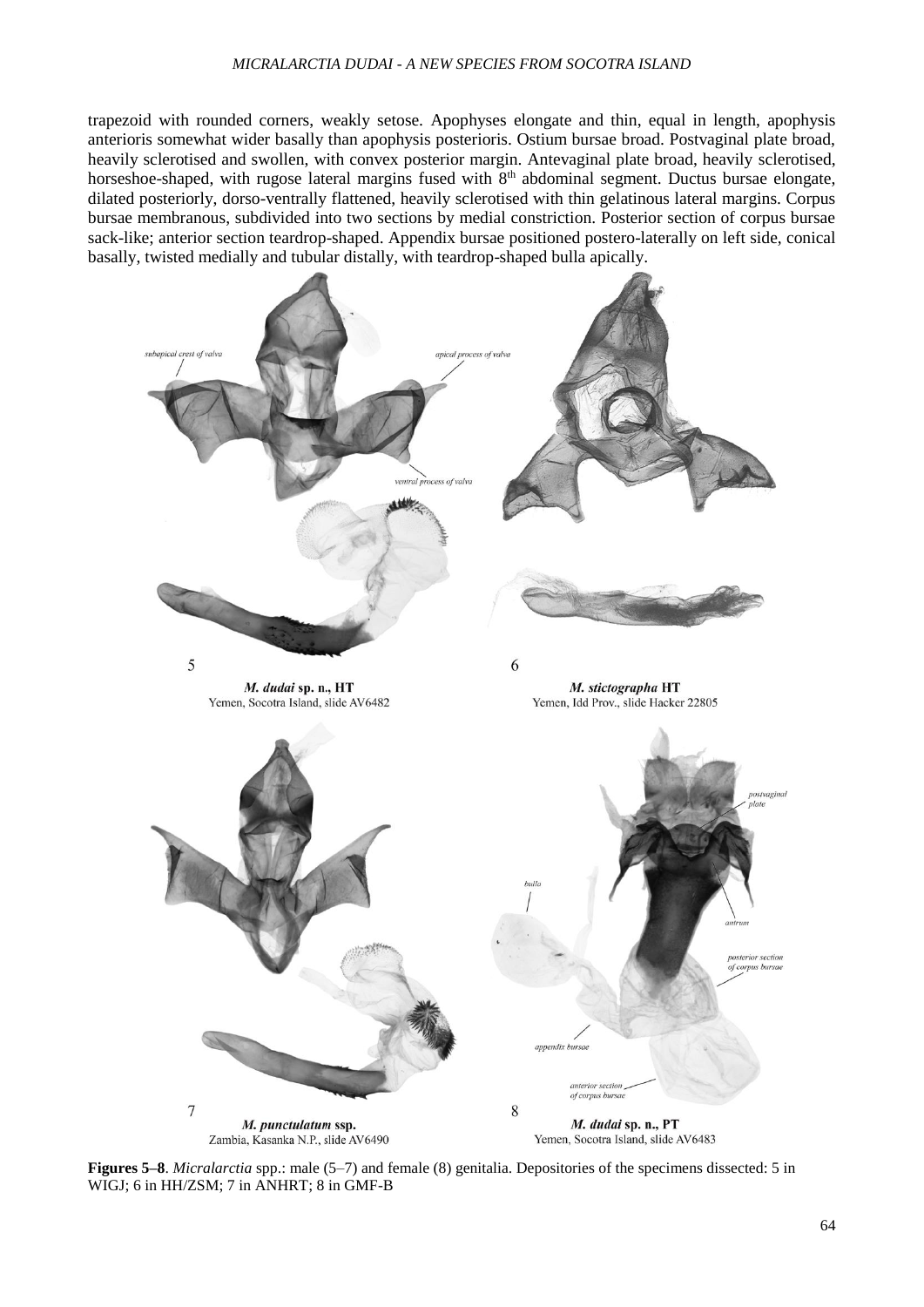#### *MICRALARCTIA DUDAI - A NEW SPECIES FROM SOCOTRA ISLAND*

trapezoid with rounded corners, weakly setose. Apophyses elongate and thin, equal in length, apophysis anterioris somewhat wider basally than apophysis posterioris. Ostium bursae broad. Postvaginal plate broad, heavily sclerotised and swollen, with convex posterior margin. Antevaginal plate broad, heavily sclerotised, horseshoe-shaped, with rugose lateral margins fused with 8<sup>th</sup> abdominal segment. Ductus bursae elongate, dilated posteriorly, dorso-ventrally flattened, heavily sclerotised with thin gelatinous lateral margins. Corpus bursae membranous, subdivided into two sections by medial constriction. Posterior section of corpus bursae sack-like; anterior section teardrop-shaped. Appendix bursae positioned postero-laterally on left side, conical basally, twisted medially and tubular distally, with teardrop-shaped bulla apically.



**Figures 5–8**. *Micralarctia* spp.: male (5–7) and female (8) genitalia. Depositories of the specimens dissected: 5 in WIGJ; 6 in HH/ZSM; 7 in ANHRT; 8 in GMF-B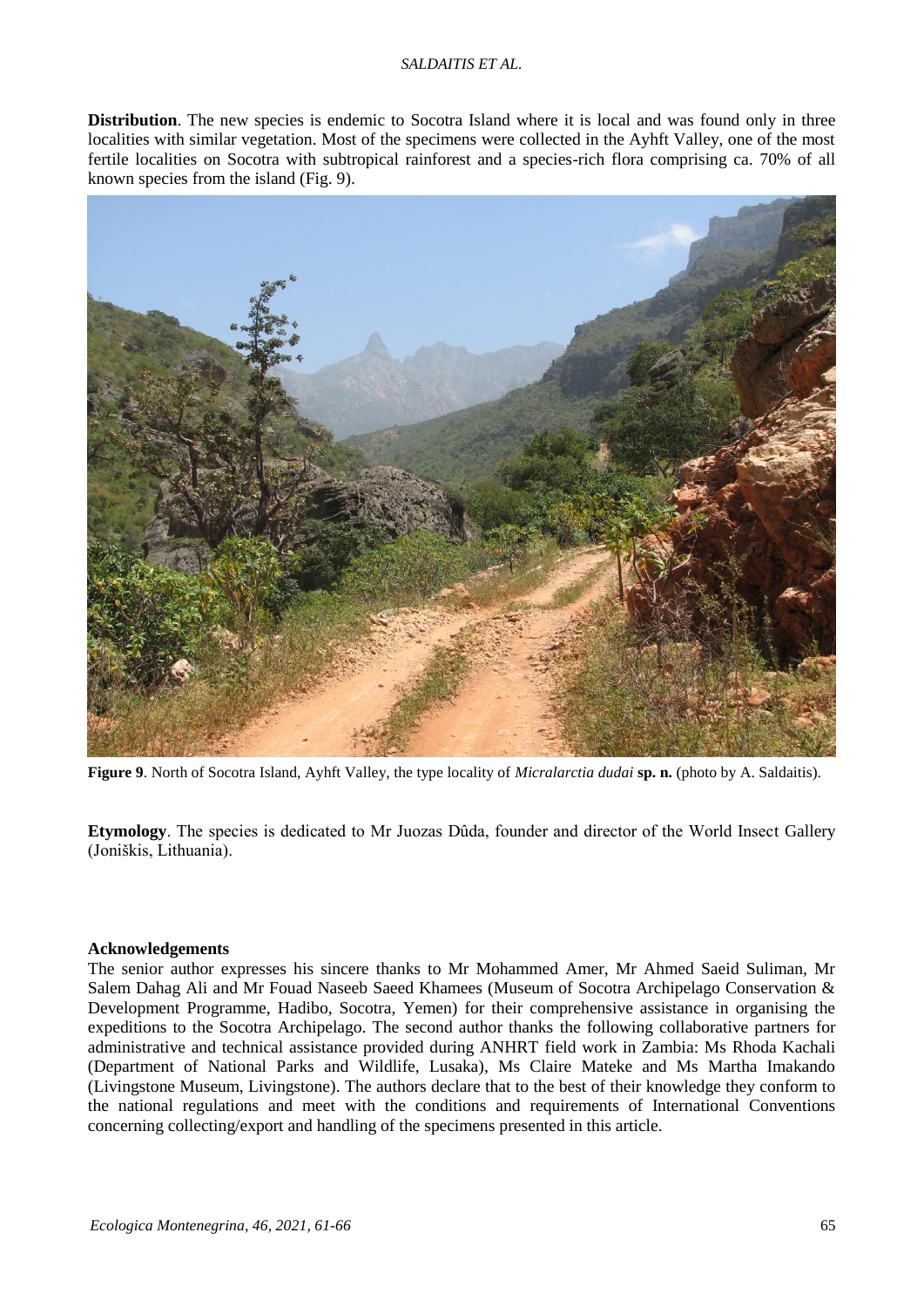## *SALDAITIS ET AL.*

**Distribution**. The new species is endemic to Socotra Island where it is local and was found only in three localities with similar vegetation. Most of the specimens were collected in the Ayhft Valley, one of the most fertile localities on Socotra with subtropical rainforest and a species-rich flora comprising ca. 70% of all known species from the island (Fig. 9).



**Figure 9**. North of Socotra Island, Ayhft Valley, the type locality of *Micralarctia dudai* **sp. n.** (photo by A. Saldaitis).

**Etymology**. The species is dedicated to Mr Juozas Dûda, founder and director of the World Insect Gallery (Joniškis, Lithuania).

## **Acknowledgements**

The senior author expresses his sincere thanks to Mr Mohammed Amer, Mr Ahmed Saeid Suliman, Mr Salem Dahag Ali and Mr Fouad Naseeb Saeed Khamees (Museum of Socotra Archipelago Conservation & Development Programme, Hadibo, Socotra, Yemen) for their comprehensive assistance in organising the expeditions to the Socotra Archipelago. The second author thanks the following collaborative partners for administrative and technical assistance provided during ANHRT field work in Zambia: Ms Rhoda Kachali (Department of National Parks and Wildlife, Lusaka), Ms Claire Mateke and Ms Martha Imakando (Livingstone Museum, Livingstone). The authors declare that to the best of their knowledge they conform to the national regulations and meet with the conditions and requirements of International Conventions concerning collecting/export and handling of the specimens presented in this article.